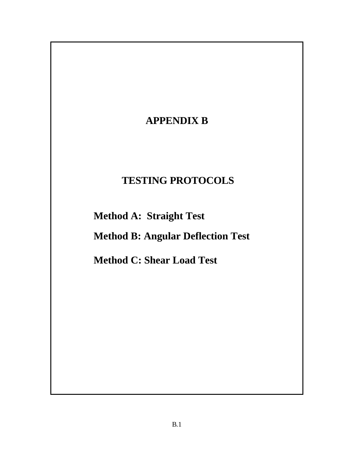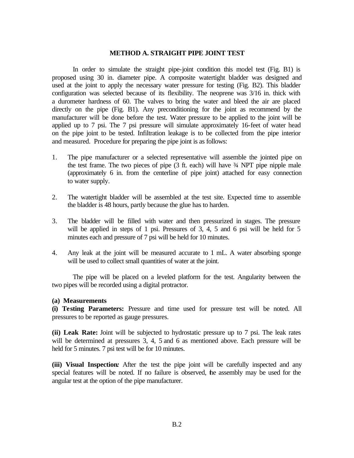# **METHOD A. STRAIGHT PIPE JOINT TEST**

In order to simulate the straight pipe-joint condition this model test (Fig. B1) is proposed using 30 in. diameter pipe. A composite watertight bladder was designed and used at the joint to apply the necessary water pressure for testing (Fig. B2). This bladder configuration was selected because of its flexibility. The neoprene was 3/16 in. thick with a durometer hardness of 60. The valves to bring the water and bleed the air are placed directly on the pipe (Fig. B1). Any preconditioning for the joint as recommend by the manufacturer will be done before the test. Water pressure to be applied to the joint will be applied up to 7 psi. The 7 psi pressure will simulate approximately 16-feet of water head on the pipe joint to be tested. Infiltration leakage is to be collected from the pipe interior and measured. Procedure for preparing the pipe joint is as follows:

- 1. The pipe manufacturer or a selected representative will assemble the jointed pipe on the test frame. The two pieces of pipe (3 ft. each) will have ¾ NPT pipe nipple male (approximately 6 in. from the centerline of pipe joint) attached for easy connection to water supply.
- 2. The watertight bladder will be assembled at the test site. Expected time to assemble the bladder is 48 hours, partly because the glue has to harden.
- 3. The bladder will be filled with water and then pressurized in stages. The pressure will be applied in steps of 1 psi. Pressures of 3, 4, 5 and 6 psi will be held for 5 minutes each and pressure of 7 psi will be held for 10 minutes.
- 4. Any leak at the joint will be measured accurate to 1 mL. A water absorbing sponge will be used to collect small quantities of water at the joint.

The pipe will be placed on a leveled platform for the test. Angularity between the two pipes will be recorded using a digital protractor.

## **(a) Measurements**

**(i) Testing Parameters:** Pressure and time used for pressure test will be noted. All pressures to be reported as gauge pressures.

**(ii) Leak Rate:** Joint will be subjected to hydrostatic pressure up to 7 psi. The leak rates will be determined at pressures 3, 4, 5 and 6 as mentioned above. Each pressure will be held for 5 minutes. 7 psi test will be for 10 minutes.

**(iii) Visual Inspection***:* After the test the pipe joint will be carefully inspected and any special features will be noted. If no failure is observed, the assembly may be used for the angular test at the option of the pipe manufacturer.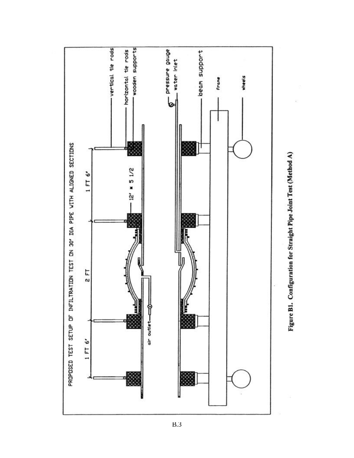

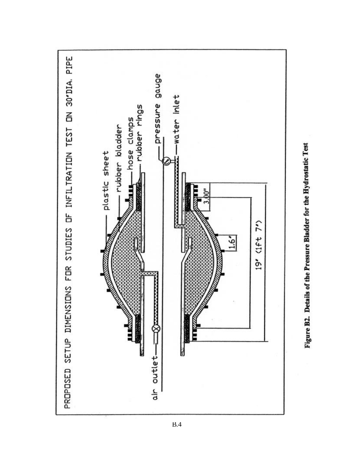

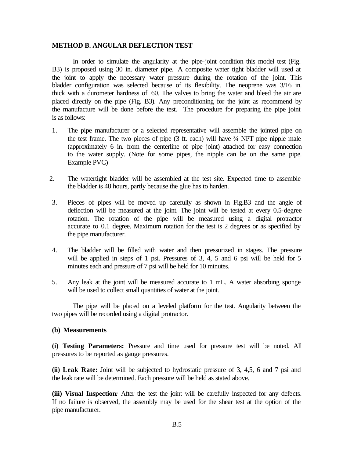## **METHOD B. ANGULAR DEFLECTION TEST**

In order to simulate the angularity at the pipe-joint condition this model test (Fig. B3) is proposed using 30 in. diameter pipe. A composite water tight bladder will used at the joint to apply the necessary water pressure during the rotation of the joint. This bladder configuration was selected because of its flexibility. The neoprene was 3/16 in. thick with a durometer hardness of 60. The valves to bring the water and bleed the air are placed directly on the pipe (Fig. B3). Any preconditioning for the joint as recommend by the manufacture will be done before the test. The procedure for preparing the pipe joint is as follows:

- 1. The pipe manufacturer or a selected representative will assemble the jointed pipe on the test frame. The two pieces of pipe (3 ft. each) will have ¾ NPT pipe nipple male (approximately 6 in. from the centerline of pipe joint) attached for easy connection to the water supply. (Note for some pipes, the nipple can be on the same pipe. Example PVC)
- 2. The watertight bladder will be assembled at the test site. Expected time to assemble the bladder is 48 hours, partly because the glue has to harden.
- 3. Pieces of pipes will be moved up carefully as shown in Fig.B3 and the angle of deflection will be measured at the joint. The joint will be tested at every 0.5-degree rotation. The rotation of the pipe will be measured using a digital protractor accurate to 0.1 degree. Maximum rotation for the test is 2 degrees or as specified by the pipe manufacturer.
- 4. The bladder will be filled with water and then pressurized in stages. The pressure will be applied in steps of 1 psi. Pressures of 3, 4, 5 and 6 psi will be held for 5 minutes each and pressure of 7 psi will be held for 10 minutes.
- 5. Any leak at the joint will be measured accurate to 1 mL. A water absorbing sponge will be used to collect small quantities of water at the joint.

The pipe will be placed on a leveled platform for the test. Angularity between the two pipes will be recorded using a digital protractor.

#### **(b) Measurements**

**(i) Testing Parameters:** Pressure and time used for pressure test will be noted. All pressures to be reported as gauge pressures.

**(ii) Leak Rate:** Joint will be subjected to hydrostatic pressure of 3, 4,5, 6 and 7 psi and the leak rate will be determined. Each pressure will be held as stated above.

**(iii) Visual Inspection***:* After the test the joint will be carefully inspected for any defects. If no failure is observed, the assembly may be used for the shear test at the option of the pipe manufacturer.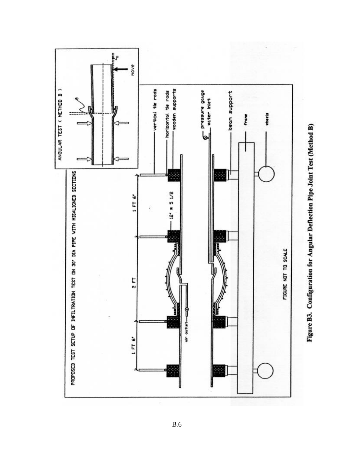

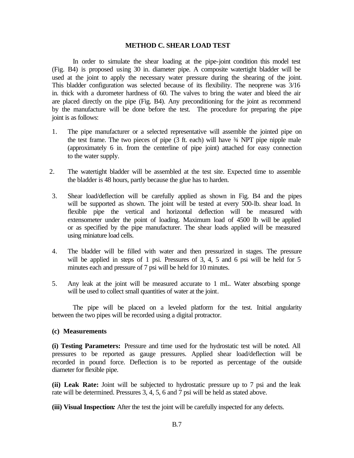## **METHOD C. SHEAR LOAD TEST**

In order to simulate the shear loading at the pipe-joint condition this model test (Fig. B4) is proposed using 30 in. diameter pipe. A composite watertight bladder will be used at the joint to apply the necessary water pressure during the shearing of the joint. This bladder configuration was selected because of its flexibility. The neoprene was 3/16 in. thick with a durometer hardness of 60. The valves to bring the water and bleed the air are placed directly on the pipe (Fig. B4). Any preconditioning for the joint as recommend by the manufacture will be done before the test. The procedure for preparing the pipe joint is as follows:

- 1. The pipe manufacturer or a selected representative will assemble the jointed pipe on the test frame. The two pieces of pipe (3 ft. each) will have ¾ NPT pipe nipple male (approximately 6 in. from the centerline of pipe joint) attached for easy connection to the water supply.
- 2. The watertight bladder will be assembled at the test site. Expected time to assemble the bladder is 48 hours, partly because the glue has to harden.
- 3. Shear load/deflection will be carefully applied as shown in Fig. B4 and the pipes will be supported as shown. The joint will be tested at every 500-lb. shear load. In flexible pipe the vertical and horizontal deflection will be measured with extensometer under the point of loading. Maximum load of 4500 lb will be applied or as specified by the pipe manufacturer. The shear loads applied will be measured using miniature load cells.
- 4. The bladder will be filled with water and then pressurized in stages. The pressure will be applied in steps of 1 psi. Pressures of 3, 4, 5 and 6 psi will be held for 5 minutes each and pressure of 7 psi will be held for 10 minutes.
- 5. Any leak at the joint will be measured accurate to 1 mL. Water absorbing sponge will be used to collect small quantities of water at the joint.

The pipe will be placed on a leveled platform for the test. Initial angularity between the two pipes will be recorded using a digital protractor.

## **(c) Measurements**

**(i) Testing Parameters:** Pressure and time used for the hydrostatic test will be noted. All pressures to be reported as gauge pressures. Applied shear load/deflection will be recorded in pound force. Deflection is to be reported as percentage of the outside diameter for flexible pipe.

**(ii) Leak Rate:** Joint will be subjected to hydrostatic pressure up to 7 psi and the leak rate will be determined. Pressures 3, 4, 5, 6 and 7 psi will be held as stated above.

**(iii) Visual Inspection***:* After the test the joint will be carefully inspected for any defects.